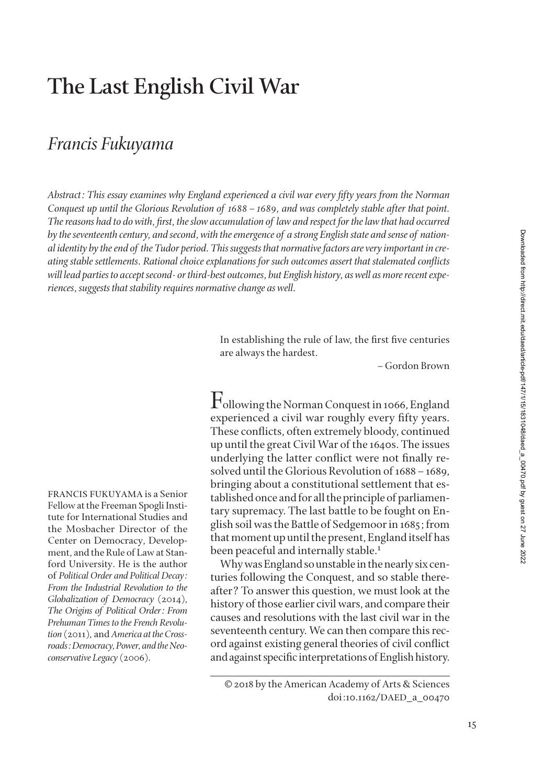## **The Last English Civil War**

## *Francis Fukuyama*

*Abstract: This essay examines why England experienced a civil war every fifty years from the Norman Conquest up until the Glorious Revolution of 1688–1689, and was completely stable after that point. The reasons had to do with, first, the slow accumulation of law and respect for the law that had occurred by the seventeenth century, and second, with the emergence of a strong English state and sense of national identity by the end of the Tudor period. This suggests that normative factors are very important in creating stable settlements. Rational choice explanations for such outcomes assert that stalemated conflicts will lead parties to accept second- or third-best outcomes, but English history, as well as more recent experiences, suggests that stability requires normative change as well.* 

> In establishing the rule of law, the first five centuries are always the hardest.

> > –Gordon Brown

Following the Norman Conquest in 1066, England experienced a civil war roughly every fifty years. These conflicts, often extremely bloody, continued up until the great Civil War of the 1640s. The issues underlying the latter conflict were not finally resolved until the Glorious Revolution of 1688–1689, bringing about a constitutional settlement that established once and for all the principle of parliamentary supremacy. The last battle to be fought on English soil was the Battle of Sedgemoor in 1685; from that moment up until the present, England itself has been peaceful and internally stable.<sup>1</sup>

Why was England so unstable in the nearly six centuries following the Conquest, and so stable thereafter? To answer this question, we must look at the history of those earlier civil wars, and compare their causes and resolutions with the last civil war in the seventeenth century. We can then compare this record against existing general theories of civil conflict and against specific interpretations of English history.

© 2018 by the American Academy of Arts & Sciences doi:10.1162/DAED\_a\_00470

FRANCIS FUKUYAMA is a Senior Fellow at the Freeman Spogli Institute for International Studies and the Mosbacher Director of the Center on Democracy, Development, and the Rule of Law at Stanford University. He is the author of *Political Order and Political Decay: From the Industrial Revolution to the Globalization of Democracy* (2014), *The Origins of Political Order: From Prehuman Times to the French Revolution* (2011), and *America at the Crossroads: Democracy, Power, and the Neoconservative Legacy* (2006).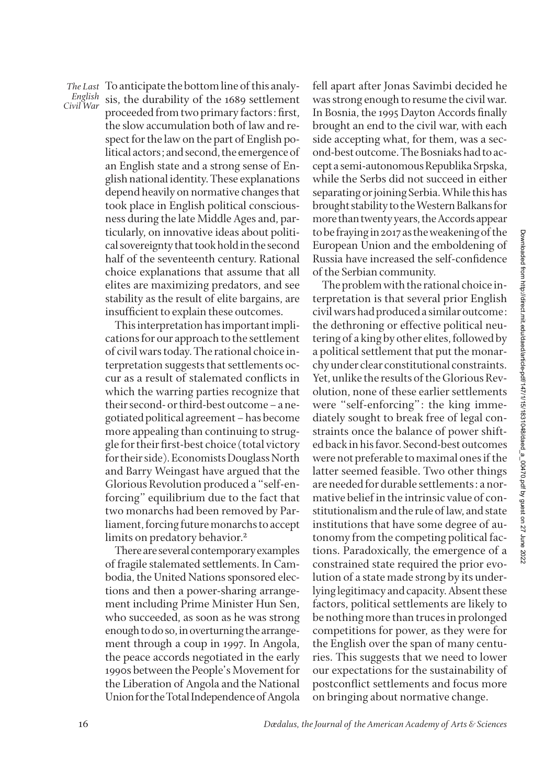*Civil War*

*The Last*  To anticipate the bottom line of this analy-*English*  sis, the durability of the 1689 settlement proceeded from two primary factors: first, the slow accumulation both of law and respect for the law on the part of English political actors; and second, the emergence of an English state and a strong sense of English national identity. These explanations depend heavily on normative changes that took place in English political consciousness during the late Middle Ages and, particularly, on innovative ideas about political sovereignty that took hold in the second half of the seventeenth century. Rational choice explanations that assume that all elites are maximizing predators, and see stability as the result of elite bargains, are insufficient to explain these outcomes.

> This interpretation has important implications for our approach to the settlement of civil wars today. The rational choice interpretation suggests that settlements occur as a result of stalemated conflicts in which the warring parties recognize that their second- or third-best outcome–a negotiated political agreement–has become more appealing than continuing to struggle for their first-best choice (total victory for their side). Economists Douglass North and Barry Weingast have argued that the Glorious Revolution produced a "self-enforcing" equilibrium due to the fact that two monarchs had been removed by Parliament, forcing future monarchs to accept limits on predatory behavior.<sup>2</sup>

> There are several contemporary examples of fragile stalemated settlements. In Cambodia, the United Nations sponsored elections and then a power-sharing arrangement including Prime Minister Hun Sen, who succeeded, as soon as he was strong enough to do so, in overturning the arrangement through a coup in 1997. In Angola, the peace accords negotiated in the early 1990s between the People's Movement for the Liberation of Angola and the National Union for the Total Independence of Angola

fell apart after Jonas Savimbi decided he was strong enough to resume the civil war. In Bosnia, the 1995 Dayton Accords finally brought an end to the civil war, with each side accepting what, for them, was a second-best outcome. The Bosniaks had to accept a semi-autonomous Republika Srpska, while the Serbs did not succeed in either separating or joining Serbia. While this has brought stability to the Western Balkans for more than twenty years, the Accords appear to be fraying in 2017 as the weakening of the European Union and the emboldening of Russia have increased the self-confidence of the Serbian community.

The problem with the rational choice interpretation is that several prior English civil wars had produced a similar outcome: the dethroning or effective political neutering of a king by other elites, followed by a political settlement that put the monarchy under clear constitutional constraints. Yet, unlike the results of the Glorious Revolution, none of these earlier settlements were "self-enforcing": the king immediately sought to break free of legal constraints once the balance of power shifted back in his favor. Second-best outcomes were not preferable to maximal ones if the latter seemed feasible. Two other things are needed for durable settlements: a normative belief in the intrinsic value of constitutionalism and the rule of law, and state institutions that have some degree of autonomy from the competing political factions. Paradoxically, the emergence of a constrained state required the prior evolution of a state made strong by its underlying legitimacy and capacity. Absent these factors, political settlements are likely to be nothing more than truces in prolonged competitions for power, as they were for the English over the span of many centuries. This suggests that we need to lower our expectations for the sustainability of postconflict settlements and focus more on bringing about normative change.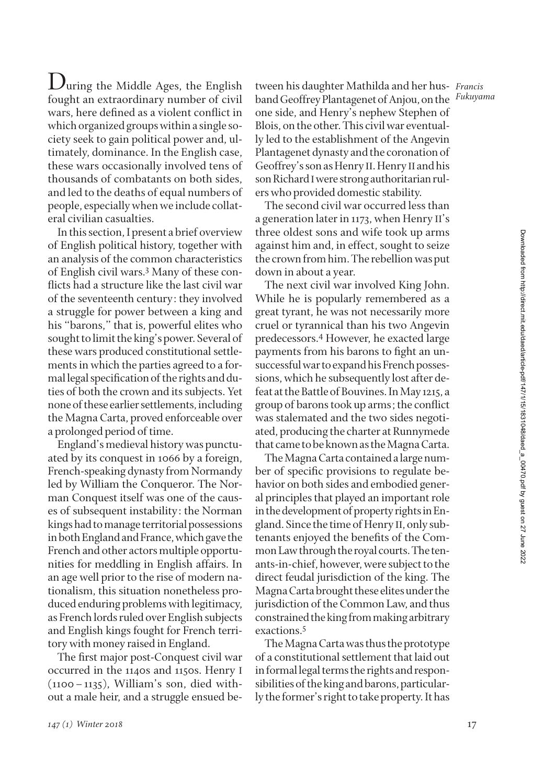Uuring the Middle Ages, the English fought an extraordinary number of civil wars, here defined as a violent conflict in which organized groups within a single society seek to gain political power and, ultimately, dominance. In the English case, these wars occasionally involved tens of thousands of combatants on both sides, and led to the deaths of equal numbers of people, especially when we include collateral civilian casualties.

In this section, I present a brief overview of English political history, together with an analysis of the common characteristics of English civil wars.3 Many of these conflicts had a structure like the last civil war of the seventeenth century: they involved a struggle for power between a king and his "barons," that is, powerful elites who sought to limit the king's power. Several of these wars produced constitutional settlements in which the parties agreed to a formal legal specification of the rights and duties of both the crown and its subjects. Yet none of these earlier settlements, including the Magna Carta, proved enforceable over a prolonged period of time.

England's medieval history was punctuated by its conquest in 1066 by a foreign, French-speaking dynasty from Normandy led by William the Conqueror. The Norman Conquest itself was one of the causes of subsequent instability: the Norman kings had to manage territorial possessions in both England and France, which gave the French and other actors multiple opportunities for meddling in English affairs. In an age well prior to the rise of modern nationalism, this situation nonetheless produced enduring problems with legitimacy, as French lords ruled over English subjects and English kings fought for French territory with money raised in England.

The first major post-Conquest civil war occurred in the 1140s and 1150s. Henry I  $(1100-1135)$ , William's son, died without a male heir, and a struggle ensued be-

*Francis* tween his daughter Mathilda and her hus-*Fukuyama* band Geoffrey Plantagenet of Anjou, on the one side, and Henry's nephew Stephen of Blois, on the other. This civil war eventually led to the establishment of the Angevin Plantagenet dynasty and the coronation of Geoffrey's son as Henry II. Henry II and his son Richard I were strong authoritarian rulers who provided domestic stability.

The second civil war occurred less than a generation later in 1173, when Henry II's three oldest sons and wife took up arms against him and, in effect, sought to seize the crown from him. The rebellion was put down in about a year.

The next civil war involved King John. While he is popularly remembered as a great tyrant, he was not necessarily more cruel or tyrannical than his two Angevin predecessors.4 However, he exacted large payments from his barons to fight an unsuccessful war to expand his French possessions, which he subsequently lost after defeat at the Battle of Bouvines. In May 1215, a group of barons took up arms; the conflict was stalemated and the two sides negotiated, producing the charter at Runnymede that came to be known as the Magna Carta.

The Magna Carta contained a large number of specific provisions to regulate behavior on both sides and embodied general principles that played an important role in the development of property rights in England. Since the time of Henry II, only subtenants enjoyed the benefits of the Common Law through the royal courts. The tenants-in-chief, however, were subject to the direct feudal jurisdiction of the king. The Magna Carta brought these elites under the jurisdiction of the Common Law, and thus constrained the king from making arbitrary exactions.5

The Magna Carta was thus the prototype of a constitutional settlement that laid out in formal legal terms the rights and responsibilities of the king and barons, particularly the former's right to take property. It has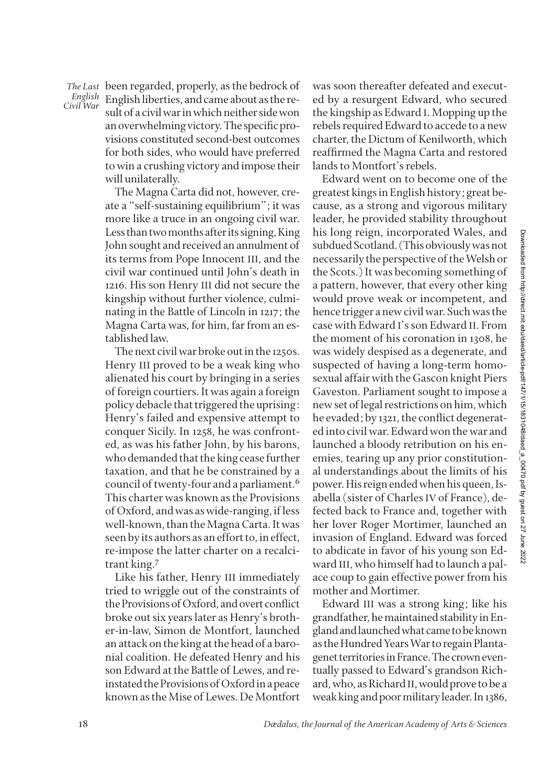*Civil War*

*The Last*  been regarded, properly, as the bedrock of *English*  English liberties, and came about as the result of a civil war in which neither side won an overwhelming victory. The specific provisions constituted second-best outcomes for both sides, who would have preferred to win a crushing victory and impose their will unilaterally.

> The Magna Carta did not, however, create a "self-sustaining equilibrium"; it was more like a truce in an ongoing civil war. Less than two months after its signing, King John sought and received an annulment of its terms from Pope Innocent III, and the civil war continued until John's death in 1216. His son Henry III did not secure the kingship without further violence, culminating in the Battle of Lincoln in 1217; the Magna Carta was, for him, far from an established law.

> The next civil war broke out in the 1250s. Henry III proved to be a weak king who alienated his court by bringing in a series of foreign courtiers. It was again a foreign policy debacle that triggered the uprising: Henry's failed and expensive attempt to conquer Sicily. In 1258, he was confronted, as was his father John, by his barons, who demanded that the king cease further taxation, and that he be constrained by a council of twenty-four and a parliament.<sup>6</sup> This charter was known as the Provisions of Oxford, and was as wide-ranging, if less well-known, than the Magna Carta. It was seen by its authors as an effort to, in effect, re-impose the latter charter on a recalcitrant king.<sup>7</sup>

> Like his father, Henry III immediately tried to wriggle out of the constraints of the Provisions of Oxford, and overt conflict broke out six years later as Henry's brother-in-law, Simon de Montfort, launched an attack on the king at the head of a baronial coalition. He defeated Henry and his son Edward at the Battle of Lewes, and reinstated the Provisions of Oxford in a peace known as the Mise of Lewes. De Montfort

was soon thereafter defeated and executed by a resurgent Edward, who secured the kingship as Edward I. Mopping up the rebels required Edward to accede to a new charter, the Dictum of Kenilworth, which reaffirmed the Magna Carta and restored lands to Montfort's rebels.

Edward went on to become one of the greatest kings in English history; great because, as a strong and vigorous military leader, he provided stability throughout his long reign, incorporated Wales, and subdued Scotland. (This obviously was not necessarily the perspective of the Welsh or the Scots.) It was becoming something of a pattern, however, that every other king would prove weak or incompetent, and hence trigger a new civil war. Such was the case with Edward I's son Edward II. From the moment of his coronation in 1308, he was widely despised as a degenerate, and suspected of having a long-term homosexual affair with the Gascon knight Piers Gaveston. Parliament sought to impose a new set of legal restrictions on him, which he evaded; by 1321, the conflict degenerated into civil war. Edward won the war and launched a bloody retribution on his enemies, tearing up any prior constitutional understandings about the limits of his power. His reign ended when his queen, Isabella (sister of Charles IV of France), defected back to France and, together with her lover Roger Mortimer, launched an invasion of England. Edward was forced to abdicate in favor of his young son Edward III, who himself had to launch a palace coup to gain effective power from his mother and Mortimer.

Edward III was a strong king; like his grandfather, he maintained stability in England and launched what came to be known as the Hundred Years War to regain Plantagenet territories in France. The crown eventually passed to Edward's grandson Richard, who, as Richard II, would prove to be a weak king and poor military leader. In 1386,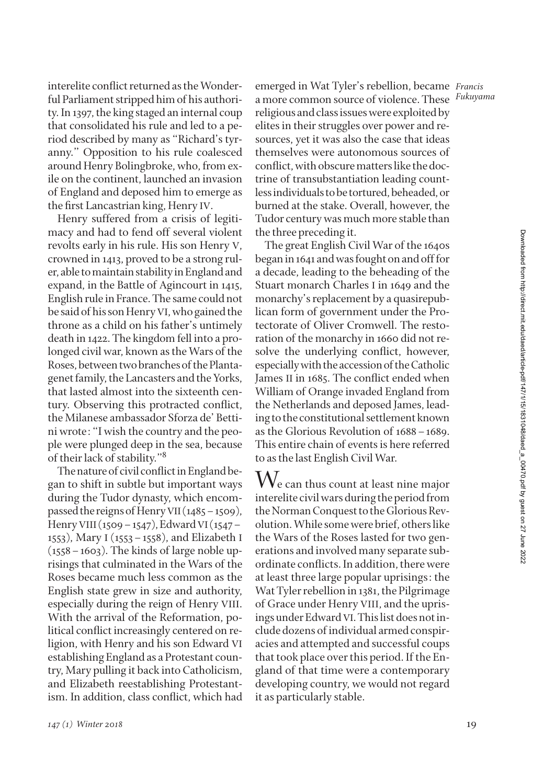interelite conflict returned as the Wonderful Parliament stripped him of his authority. In 1397, the king staged an internal coup that consolidated his rule and led to a period described by many as "Richard's tyranny." Opposition to his rule coalesced around Henry Bolingbroke, who, from exile on the continent, launched an invasion of England and deposed him to emerge as the first Lancastrian king, Henry IV.

Henry suffered from a crisis of legitimacy and had to fend off several violent revolts early in his rule. His son Henry V, crowned in 1413, proved to be a strong ruler, able to maintain stability in England and expand, in the Battle of Agincourt in 1415, English rule in France. The same could not be said of his son Henry VI, who gained the throne as a child on his father's untimely death in 1422. The kingdom fell into a prolonged civil war, known as the Wars of the Roses, between two branches of the Plantagenet family, the Lancasters and the Yorks, that lasted almost into the sixteenth century. Observing this protracted conflict, the Milanese ambassador Sforza de' Bettini wrote: "I wish the country and the people were plunged deep in the sea, because of their lack of stability."8

The nature of civil conflict in England began to shift in subtle but important ways during the Tudor dynasty, which encompassed the reigns of Henry VII (1485–1509), Henry VIII (1509–1547), Edward VI (1547– 1553), Mary I (1553–1558), and Elizabeth I  $(1558 - 1603)$ . The kinds of large noble uprisings that culminated in the Wars of the Roses became much less common as the English state grew in size and authority, especially during the reign of Henry VIII. With the arrival of the Reformation, political conflict increasingly centered on religion, with Henry and his son Edward VI establishing England as a Protestant country, Mary pulling it back into Catholicism, and Elizabeth reestablishing Protestantism. In addition, class conflict, which had

emerged in Wat Tyler's rebellion, became Francis a more common source of violence. These Fukuyama religious and class issues were exploited by elites in their struggles over power and resources, yet it was also the case that ideas themselves were autonomous sources of conflict, with obscure matters like the doctrine of transubstantiation leading countless individuals to be tortured, beheaded, or burned at the stake. Overall, however, the Tudor century was much more stable than the three preceding it.

The great English Civil War of the 1640s began in 1641 and was fought on and off for a decade, leading to the beheading of the Stuart monarch Charles I in 1649 and the monarchy's replacement by a quasirepublican form of government under the Protectorate of Oliver Cromwell. The restoration of the monarchy in 1660 did not resolve the underlying conflict, however, especially with the accession of the Catholic James II in 1685. The conflict ended when William of Orange invaded England from the Netherlands and deposed James, leading to the constitutional settlement known as the Glorious Revolution of 1688–1689. This entire chain of events is here referred to as the last English Civil War.

 $\textstyle{\mathop{W}\nolimits_{\text{e}}}$  can thus count at least nine major interelite civil wars during the period from the Norman Conquest to the Glorious Revolution. While some were brief, others like the Wars of the Roses lasted for two generations and involved many separate subordinate conflicts. In addition, there were at least three large popular uprisings: the Wat Tyler rebellion in 1381, the Pilgrimage of Grace under Henry VIII, and the uprisings under Edward VI. This list does not include dozens of individual armed conspiracies and attempted and successful coups that took place over this period. If the England of that time were a contemporary developing country, we would not regard it as particularly stable.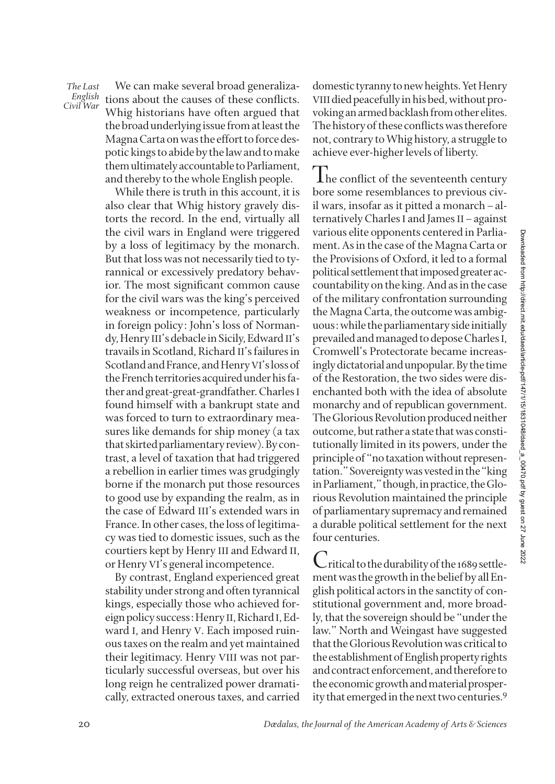*The Last Civil War*

*English* tions about the causes of these conflicts. We can make several broad generaliza-Whig historians have often argued that the broad underlying issue from at least the Magna Carta on was the effort to force despotic kings to abide by the law and to make them ultimately accountable to Parliament, and thereby to the whole English people.

> While there is truth in this account, it is also clear that Whig history gravely distorts the record. In the end, virtually all the civil wars in England were triggered by a loss of legitimacy by the monarch. But that loss was not necessarily tied to tyrannical or excessively predatory behavior. The most significant common cause for the civil wars was the king's perceived weakness or incompetence, particularly in foreign policy: John's loss of Normandy, Henry III's debacle in Sicily, Edward II's travails in Scotland, Richard II's failures in Scotland and France, and Henry VI's loss of the French territories acquired under his father and great-great-grandfather. Charles I found himself with a bankrupt state and was forced to turn to extraordinary measures like demands for ship money (a tax that skirted parliamentary review). By contrast, a level of taxation that had triggered a rebellion in earlier times was grudgingly borne if the monarch put those resources to good use by expanding the realm, as in the case of Edward III's extended wars in France. In other cases, the loss of legitimacy was tied to domestic issues, such as the courtiers kept by Henry III and Edward II, or Henry VI's general incompetence.

> By contrast, England experienced great stability under strong and often tyrannical kings, especially those who achieved foreign policy success: Henry II, Richard I, Edward I, and Henry V. Each imposed ruinous taxes on the realm and yet maintained their legitimacy. Henry VIII was not particularly successful overseas, but over his long reign he centralized power dramatically, extracted onerous taxes, and carried

domestic tyranny to new heights. Yet Henry VIII died peacefully in his bed, without provoking an armed backlash from other elites. The history of these conflicts was therefore not, contrary to Whig history, a struggle to achieve ever-higher levels of liberty.

The conflict of the seventeenth century bore some resemblances to previous civil wars, insofar as it pitted a monarch–alternatively Charles I and James II–against various elite opponents centered in Parliament. As in the case of the Magna Carta or the Provisions of Oxford, it led to a formal political settlement that imposed greater accountability on the king. And as in the case of the military confrontation surrounding the Magna Carta, the outcome was ambiguous: while the parliamentary side initially prevailed and managed to depose Charles I, Cromwell's Protectorate became increasingly dictatorial and unpopular. By the time of the Restoration, the two sides were disenchanted both with the idea of absolute monarchy and of republican government. The Glorious Revolution produced neither outcome, but rather a state that was constitutionally limited in its powers, under the principle of "no taxation without representation." Sovereignty was vested in the "king in Parliament," though, in practice, the Glorious Revolution maintained the principle of parliamentary supremacy and remained a durable political settlement for the next four centuries.

 $\hspace{0.1cm}$  ritical to the durability of the 1689 settlement was the growth in the belief by all English political actors in the sanctity of constitutional government and, more broadly, that the sovereign should be "under the law." North and Weingast have suggested that the Glorious Revolution was critical to the establishment of English property rights and contract enforcement, and therefore to the economic growth and material prosperity that emerged in the next two centuries.9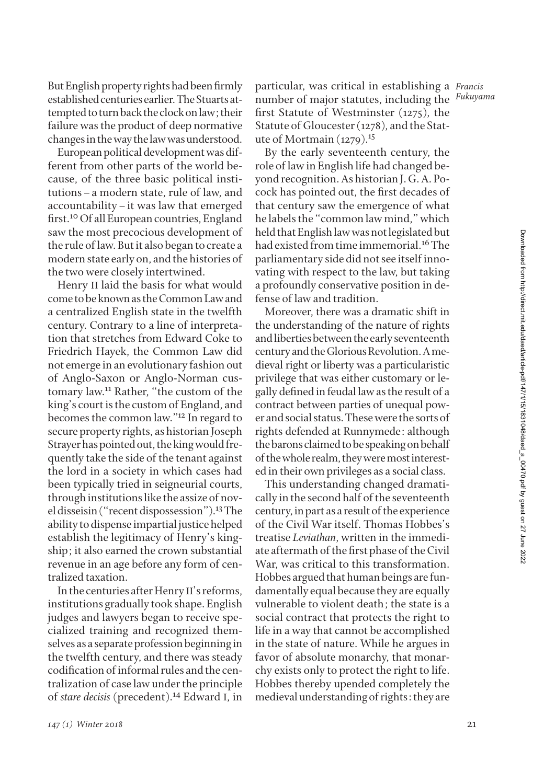But English property rights had been firmly established centuries earlier. The Stuarts attempted to turn back the clock on law; their failure was the product of deep normative changes in the way the law was understood.

European political development was different from other parts of the world because, of the three basic political institutions–a modern state, rule of law, and accountability–it was law that emerged first.<sup>10</sup> Of all European countries, England saw the most precocious development of the rule of law. But it also began to create a modern state early on, and the histories of the two were closely intertwined.

Henry II laid the basis for what would come to be known as the Common Law and a centralized English state in the twelfth century. Contrary to a line of interpretation that stretches from Edward Coke to Friedrich Hayek, the Common Law did not emerge in an evolutionary fashion out of Anglo-Saxon or Anglo-Norman customary law.11 Rather, "the custom of the king's court is the custom of England, and becomes the common law."12 In regard to secure property rights, as historian Joseph Strayer has pointed out, the king would frequently take the side of the tenant against the lord in a society in which cases had been typically tried in seigneurial courts, through institutions like the assize of novel disseisin ("recent dispossession").<sup>13</sup> The ability to dispense impartial justice helped establish the legitimacy of Henry's kingship; it also earned the crown substantial revenue in an age before any form of centralized taxation.

In the centuries after Henry II's reforms, institutions gradually took shape. English judges and lawyers began to receive specialized training and recognized themselves as a separate profession beginning in the twelfth century, and there was steady codification of informal rules and the centralization of case law under the principle of *stare decisis* (precedent).14 Edward I, in

*Francis* particular, was critical in establishing a *Fukuyama* number of major statutes, including the first Statute of Westminster (1275), the Statute of Gloucester (1278), and the Statute of Mortmain  $(1279)^{15}$ 

By the early seventeenth century, the role of law in English life had changed beyond recognition. As historian J. G. A. Pocock has pointed out, the first decades of that century saw the emergence of what he labels the "common law mind," which held that English law was not legislated but had existed from time immemorial.<sup>16</sup> The parliamentary side did not see itself innovating with respect to the law, but taking a profoundly conservative position in defense of law and tradition.

Moreover, there was a dramatic shift in the understanding of the nature of rights and liberties between the early seventeenth century and the Glorious Revolution. A medieval right or liberty was a particularistic privilege that was either customary or legally defined in feudal law as the result of a contract between parties of unequal power and social status. These were the sorts of rights defended at Runnymede: although the barons claimed to be speaking on behalf of the whole realm, they were most interested in their own privileges as a social class.

This understanding changed dramatically in the second half of the seventeenth century, in part as a result of the experience of the Civil War itself. Thomas Hobbes's treatise *Leviathan*, written in the immediate aftermath of the first phase of the Civil War, was critical to this transformation. Hobbes argued that human beings are fundamentally equal because they are equally vulnerable to violent death; the state is a social contract that protects the right to life in a way that cannot be accomplished in the state of nature. While he argues in favor of absolute monarchy, that monarchy exists only to protect the right to life. Hobbes thereby upended completely the medieval understanding of rights: they are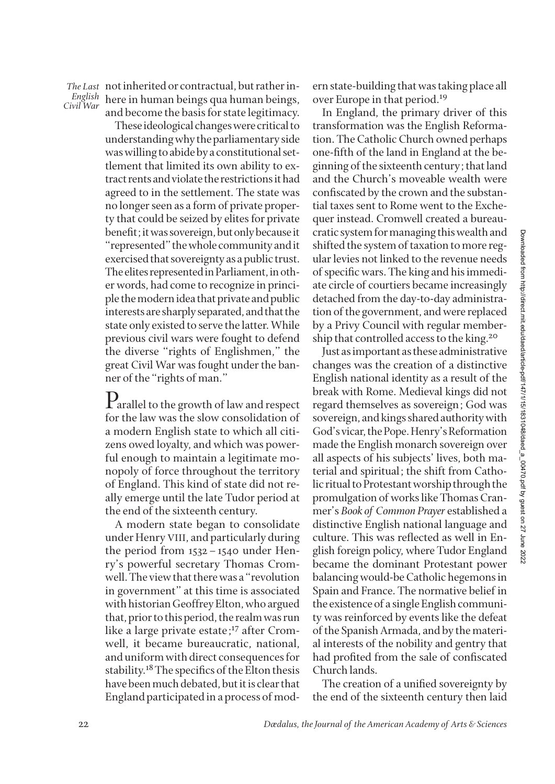*Civil War*

*The Last*  not inherited or contractual, but rather in-*English*  here in human beings qua human beings, and become the basis for state legitimacy.

> These ideological changes were critical to understanding why the parliamentary side was willing to abide by a constitutional settlement that limited its own ability to extract rents and violate the restrictions it had agreed to in the settlement. The state was no longer seen as a form of private property that could be seized by elites for private benefit; it was sovereign, but only because it "represented" the whole community and it exercised that sovereignty as a public trust. The elites represented in Parliament, in other words, had come to recognize in principle the modern idea that private and public interests are sharply separated, and that the state only existed to serve the latter. While previous civil wars were fought to defend the diverse "rights of Englishmen," the great Civil War was fought under the banner of the "rights of man."

> $P_{\text{arallel to the growth of law and respect}}$ for the law was the slow consolidation of a modern English state to which all citizens owed loyalty, and which was powerful enough to maintain a legitimate monopoly of force throughout the territory of England. This kind of state did not really emerge until the late Tudor period at the end of the sixteenth century.

> A modern state began to consolidate under Henry VIII, and particularly during the period from 1532–1540 under Henry's powerful secretary Thomas Cromwell. The view that there was a "revolution in government" at this time is associated with historian Geoffrey Elton, who argued that, prior to this period, the realm was run like a large private estate;<sup>17</sup> after Cromwell, it became bureaucratic, national, and uniform with direct consequences for stability.18 The specifics of the Elton thesis have been much debated, but it is clear that England participated in a process of mod

ern state-building that was taking place all over Europe in that period.<sup>19</sup>

In England, the primary driver of this transformation was the English Reformation. The Catholic Church owned perhaps one-fifth of the land in England at the beginning of the sixteenth century; that land and the Church's moveable wealth were confiscated by the crown and the substantial taxes sent to Rome went to the Exchequer instead. Cromwell created a bureaucratic system for managing this wealth and shifted the system of taxation to more regular levies not linked to the revenue needs of specific wars. The king and his immediate circle of courtiers became increasingly detached from the day-to-day administration of the government, and were replaced by a Privy Council with regular membership that controlled access to the king.<sup>20</sup>

Just as important as these administrative changes was the creation of a distinctive English national identity as a result of the break with Rome. Medieval kings did not regard themselves as sovereign; God was sovereign, and kings shared authority with God's vicar, the Pope. Henry's Reformation made the English monarch sovereign over all aspects of his subjects' lives, both material and spiritual; the shift from Catholic ritual to Protestant worship through the promulgation of works like Thomas Cranmer's *Book of Common Prayer* established a distinctive English national language and culture. This was reflected as well in English foreign policy, where Tudor England became the dominant Protestant power balancing would-be Catholic hegemons in Spain and France. The normative belief in the existence of a single English community was reinforced by events like the defeat of the Spanish Armada, and by the material interests of the nobility and gentry that had profited from the sale of confiscated Church lands.

The creation of a unified sovereignty by the end of the sixteenth century then laid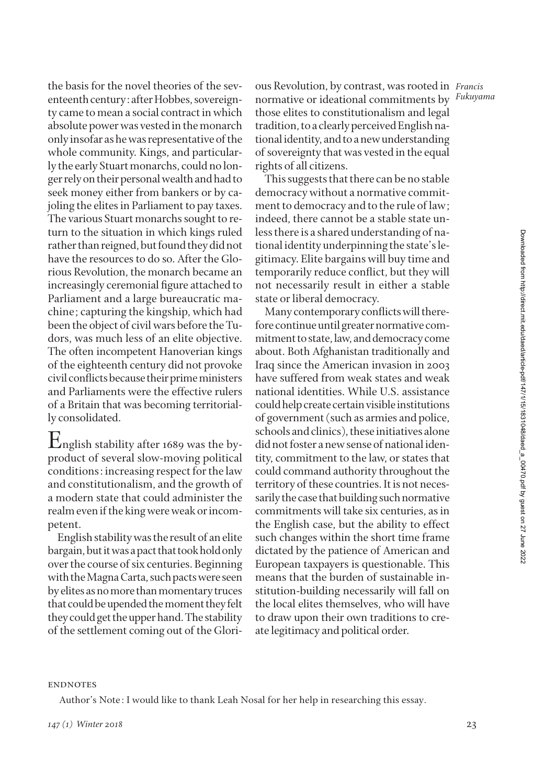the basis for the novel theories of the seventeenth century: after Hobbes, sovereignty came to mean a social contract in which absolute power was vested in the monarch only insofar as he was representative of the whole community. Kings, and particularly the early Stuart monarchs, could no longer rely on their personal wealth and had to seek money either from bankers or by cajoling the elites in Parliament to pay taxes. The various Stuart monarchs sought to return to the situation in which kings ruled rather than reigned, but found they did not have the resources to do so. After the Glorious Revolution, the monarch became an increasingly ceremonial figure attached to Parliament and a large bureaucratic machine; capturing the kingship, which had been the object of civil wars before the Tudors, was much less of an elite objective. The often incompetent Hanoverian kings of the eighteenth century did not provoke civil conflicts because their prime ministers and Parliaments were the effective rulers of a Britain that was becoming territorially consolidated.

English stability after 1689 was the byproduct of several slow-moving political conditions: increasing respect for the law and constitutionalism, and the growth of a modern state that could administer the realm even if the king were weak or incompetent.

English stability was the result of an elite bargain, but it was a pact that took hold only over the course of six centuries. Beginning with the Magna Carta, such pacts were seen by elites as no more than momentary truces that could be upended the moment they felt they could get the upper hand. The stability of the settlement coming out of the Glori-

*Francis* ous Revolution, by contrast, was rooted in *Fukuyama* normative or ideational commitments by those elites to constitutionalism and legal tradition, to a clearly perceived English national identity, and to a new understanding of sovereignty that was vested in the equal rights of all citizens.

This suggests that there can be no stable democracy without a normative commitment to democracy and to the rule of law; indeed, there cannot be a stable state unless there is a shared understanding of national identity underpinning the state's legitimacy. Elite bargains will buy time and temporarily reduce conflict, but they will not necessarily result in either a stable state or liberal democracy.

Many contemporary conflicts will therefore continue until greater normative commitment to state, law, and democracy come about. Both Afghanistan traditionally and Iraq since the American invasion in 2003 have suffered from weak states and weak national identities. While U.S. assistance could help create certain visible institutions of government (such as armies and police, schools and clinics), these initiatives alone did not foster a new sense of national identity, commitment to the law, or states that could command authority throughout the territory of these countries. It is not necessarily the case that building such normative commitments will take six centuries, as in the English case, but the ability to effect such changes within the short time frame dictated by the patience of American and European taxpayers is questionable. This means that the burden of sustainable institution-building necessarily will fall on the local elites themselves, who will have to draw upon their own traditions to create legitimacy and political order.

## **ENDNOTES**

Author's Note: I would like to thank Leah Nosal for her help in researching this essay.